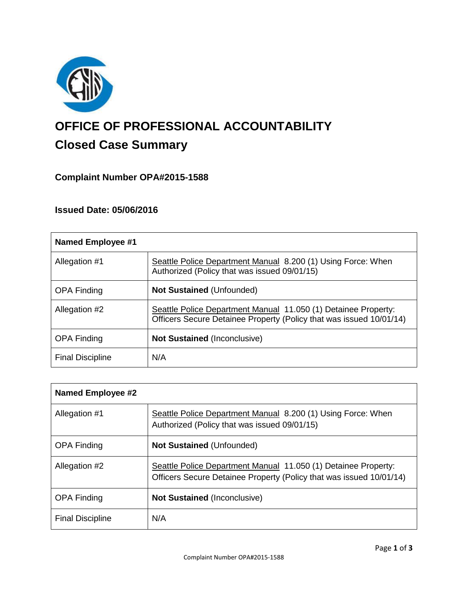

# **OFFICE OF PROFESSIONAL ACCOUNTABILITY Closed Case Summary**

# **Complaint Number OPA#2015-1588**

## **Issued Date: 05/06/2016**

| Named Employee #1       |                                                                                                                                       |
|-------------------------|---------------------------------------------------------------------------------------------------------------------------------------|
| Allegation #1           | Seattle Police Department Manual 8.200 (1) Using Force: When<br>Authorized (Policy that was issued 09/01/15)                          |
| <b>OPA Finding</b>      | <b>Not Sustained (Unfounded)</b>                                                                                                      |
| Allegation #2           | Seattle Police Department Manual 11.050 (1) Detainee Property:<br>Officers Secure Detainee Property (Policy that was issued 10/01/14) |
| <b>OPA Finding</b>      | <b>Not Sustained (Inconclusive)</b>                                                                                                   |
| <b>Final Discipline</b> | N/A                                                                                                                                   |

| <b>Named Employee #2</b> |                                                                                                                                       |
|--------------------------|---------------------------------------------------------------------------------------------------------------------------------------|
| Allegation #1            | Seattle Police Department Manual 8.200 (1) Using Force: When<br>Authorized (Policy that was issued 09/01/15)                          |
| <b>OPA Finding</b>       | <b>Not Sustained (Unfounded)</b>                                                                                                      |
| Allegation #2            | Seattle Police Department Manual 11.050 (1) Detainee Property:<br>Officers Secure Detainee Property (Policy that was issued 10/01/14) |
| <b>OPA Finding</b>       | <b>Not Sustained (Inconclusive)</b>                                                                                                   |
| <b>Final Discipline</b>  | N/A                                                                                                                                   |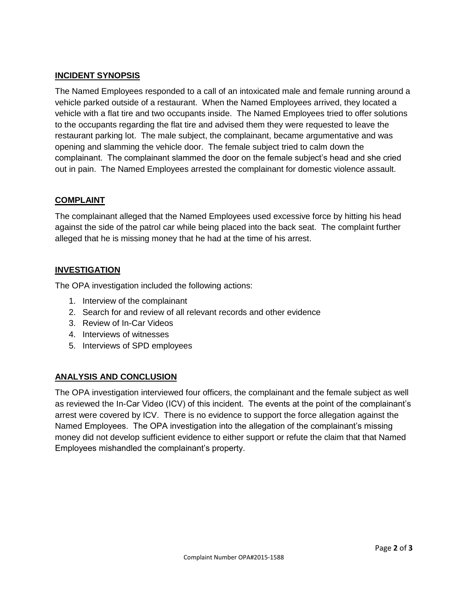### **INCIDENT SYNOPSIS**

The Named Employees responded to a call of an intoxicated male and female running around a vehicle parked outside of a restaurant. When the Named Employees arrived, they located a vehicle with a flat tire and two occupants inside. The Named Employees tried to offer solutions to the occupants regarding the flat tire and advised them they were requested to leave the restaurant parking lot. The male subject, the complainant, became argumentative and was opening and slamming the vehicle door. The female subject tried to calm down the complainant. The complainant slammed the door on the female subject's head and she cried out in pain. The Named Employees arrested the complainant for domestic violence assault.

#### **COMPLAINT**

The complainant alleged that the Named Employees used excessive force by hitting his head against the side of the patrol car while being placed into the back seat. The complaint further alleged that he is missing money that he had at the time of his arrest.

#### **INVESTIGATION**

The OPA investigation included the following actions:

- 1. Interview of the complainant
- 2. Search for and review of all relevant records and other evidence
- 3. Review of In-Car Videos
- 4. Interviews of witnesses
- 5. Interviews of SPD employees

#### **ANALYSIS AND CONCLUSION**

The OPA investigation interviewed four officers, the complainant and the female subject as well as reviewed the In-Car Video (ICV) of this incident. The events at the point of the complainant's arrest were covered by ICV. There is no evidence to support the force allegation against the Named Employees. The OPA investigation into the allegation of the complainant's missing money did not develop sufficient evidence to either support or refute the claim that that Named Employees mishandled the complainant's property.